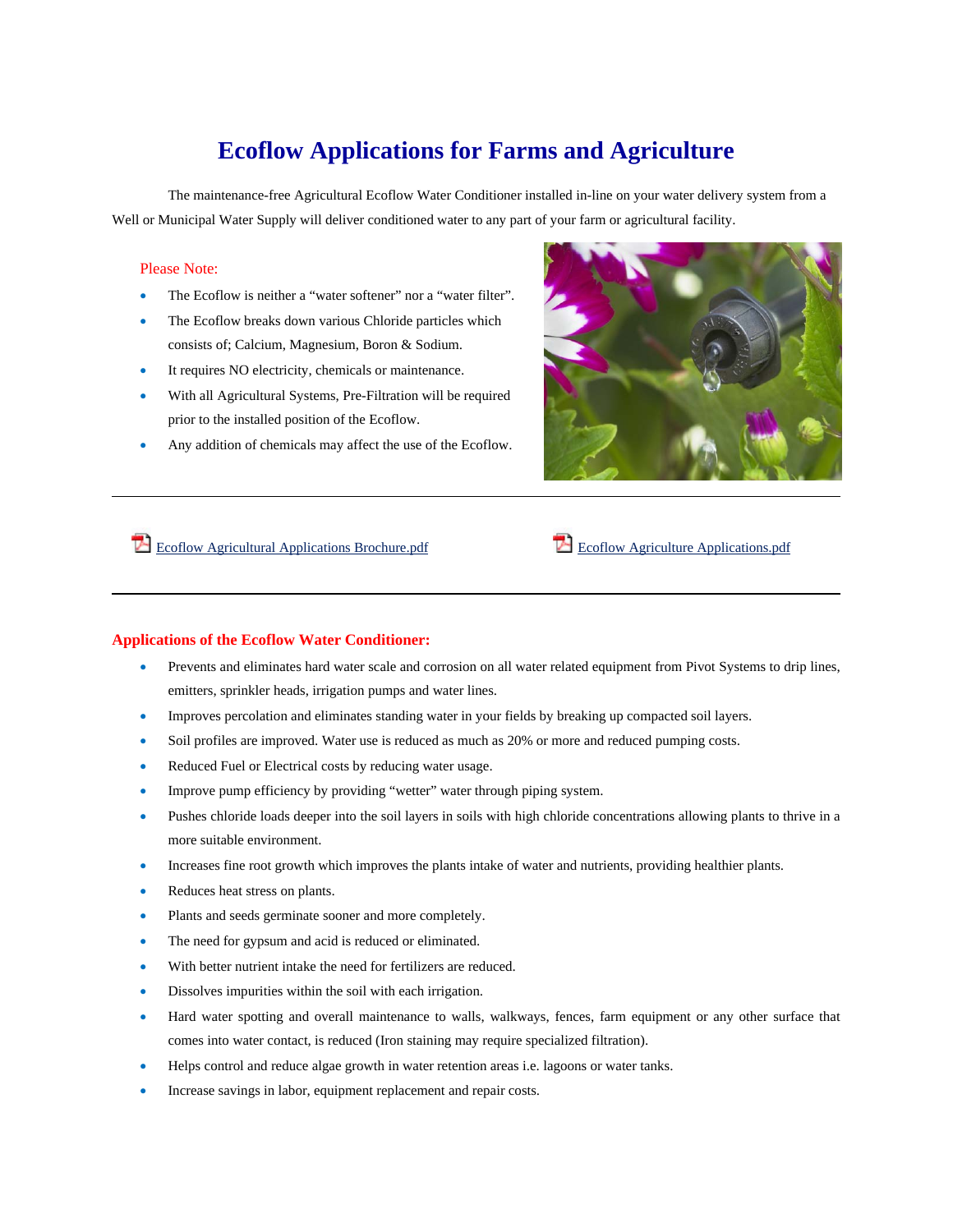## **Ecoflow Applications for Farms and Agriculture**

The maintenance-free Agricultural Ecoflow Water Conditioner installed in-line on your water delivery system from a Well or Municipal Water Supply will deliver conditioned water to any part of your farm or agricultural facility.

## Please Note:

- The Ecoflow is neither a "water softener" nor a "water filter".
- The Ecoflow breaks down various Chloride particles which consists of; Calcium, Magnesium, Boron & Sodium.
- It requires NO electricity, chemicals or maintenance.
- With all Agricultural Systems, Pre-Filtration will be required prior to the installed position of the Ecoflow.
- Any addition of chemicals may affect the use of the Ecoflow.



Ecoflow Agricultural Applications Brochure.pdf Ecoflow Agriculture Applications.pdf

## **Applications of the Ecoflow Water Conditioner:**

- Prevents and eliminates hard water scale and corrosion on all water related equipment from Pivot Systems to drip lines, emitters, sprinkler heads, irrigation pumps and water lines.
- Improves percolation and eliminates standing water in your fields by breaking up compacted soil layers.
- Soil profiles are improved. Water use is reduced as much as 20% or more and reduced pumping costs.
- Reduced Fuel or Electrical costs by reducing water usage.
- Improve pump efficiency by providing "wetter" water through piping system.
- Pushes chloride loads deeper into the soil layers in soils with high chloride concentrations allowing plants to thrive in a more suitable environment.
- Increases fine root growth which improves the plants intake of water and nutrients, providing healthier plants.
- Reduces heat stress on plants.
- Plants and seeds germinate sooner and more completely.
- The need for gypsum and acid is reduced or eliminated.
- With better nutrient intake the need for fertilizers are reduced.
- Dissolves impurities within the soil with each irrigation.
- Hard water spotting and overall maintenance to walls, walkways, fences, farm equipment or any other surface that comes into water contact, is reduced (Iron staining may require specialized filtration).
- Helps control and reduce algae growth in water retention areas i.e. lagoons or water tanks.
- Increase savings in labor, equipment replacement and repair costs.